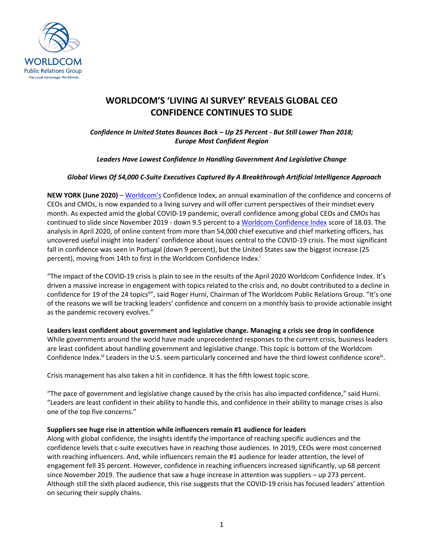

## **WORLDCOM'S 'LIVING AI SURVEY' REVEALS GLOBAL CEO CONFIDENCE CONTINUES TO SLIDE**

*Confidence In United States Bounces Back – Up 25 Percent - But Still Lower Than 2018; Europe Most Confident Region*

*Leaders Have Lowest Confidence In Handling Government And Legislative Change*

### *Global Views Of 54,000 C-Suite Executives Captured By A Breakthrough Artificial Intelligence Approach*

**NEW YORK (June 2020) – [Worldcom's](https://worldcomgroup.com/) Confidence Index, an annual examination of the confidence and concerns of** CEOs and CMOs, is now expanded to a living survey and will offer current perspectives of their mindset every month. As expected amid the global COVID-19 pandemic, overall confidence among global CEOs and CMOs has continued to slide since November 2019 - down 9.5 percent to a [Worldcom Confidence Index](https://worldcomgroup.com/confidence-index/april-2020-insights/) score of 18.03. The analysis in April 2020, of online content from more than 54,000 chief executive and chief marketing officers, has uncovered useful insight into leaders' confidence about issues central to the COVID-19 crisis. The most significant fall in confidence was seen in Portugal (down 9 percent), but the United States saw the biggest increase (25 percent), moving from 14th to first in the Worldcom Confidence Index.<sup>i</sup>

"The impact of the COVID-19 crisis is plain to see in the results of the April 2020 Worldcom Confidence Index. It's driven a massive increase in engagement with topics related to the crisis and, no doubt contributed to a decline in confidence for 19 of the 24 topics<sup>ii</sup>", said Roger Hurni, Chairman of The Worldcom Public Relations Group. "It's one of the reasons we will be tracking leaders' confidence and concern on a monthly basis to provide actionable insight as the pandemic recovery evolves."

**Leaders least confident about government and legislative change. Managing a crisis see drop in confidence**  While governments around the world have made unprecedented responses to the current crisis, business leaders are least confident about handling government and legislative change. This topic is bottom of the Worldcom Confidence Index.<sup>iii</sup> Leaders in the U.S. seem particularly concerned and have the third lowest confidence score<sup>iv</sup>.

Crisis management has also taken a hit in confidence. It has the fifth lowest topic score.

"The pace of government and legislative change caused by the crisis has also impacted confidence," said Hurni. "Leaders are least confident in their ability to handle this, and confidence in their ability to manage crises is also one of the top five concerns."

### **Suppliers see huge rise in attention while influencers remain #1 audience for leaders**

Along with global confidence, the insights identify the importance of reaching specific audiences and the confidence levels that c-suite executives have in reaching those audiences. In 2019, CEOs were most concerned with reaching influencers. And, while influencers remain the #1 audience for leader attention, the level of engagement fell 35 percent. However, confidence in reaching influencers increased significantly, up 68 percent since November 2019. The audience that saw a huge increase in attention was suppliers – up 273 percent. Although still the sixth placed audience, this rise suggests that the COVID-19 crisis has focused leaders' attention on securing their supply chains.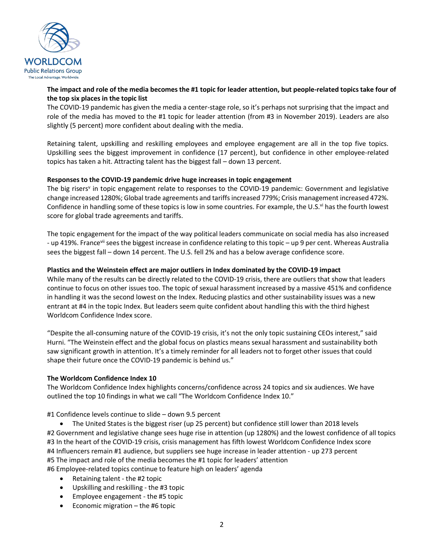

### **The impact and role of the media becomes the #1 topic for leader attention, but people-related topics take four of the top six places in the topic list**

The COVID-19 pandemic has given the media a center-stage role, so it's perhaps not surprising that the impact and role of the media has moved to the #1 topic for leader attention (from #3 in November 2019). Leaders are also slightly (5 percent) more confident about dealing with the media.

Retaining talent, upskilling and reskilling employees and employee engagement are all in the top five topics. Upskilling sees the biggest improvement in confidence (17 percent), but confidence in other employee-related topics has taken a hit. Attracting talent has the biggest fall – down 13 percent.

### **Responses to the COVID-19 pandemic drive huge increases in topic engagement**

The big risers<sup>v</sup> in topic engagement relate to responses to the COVID-19 pandemic: Government and legislative change increased 1280%; Global trade agreements and tariffs increased 779%; Crisis management increased 472%. Confidence in handling some of these topics is low in some countries. For example, the U.S.<sup>vi</sup> has the fourth lowest score for global trade agreements and tariffs.

The topic engagement for the impact of the way political leaders communicate on social media has also increased - up 419%. Francevii sees the biggest increase in confidence relating to this topic – up 9 per cent. Whereas Australia sees the biggest fall – down 14 percent. The U.S. fell 2% and has a below average confidence score.

### **Plastics and the Weinstein effect are major outliers in Index dominated by the COVID-19 impact**

While many of the results can be directly related to the COVID-19 crisis, there are outliers that show that leaders continue to focus on other issues too. The topic of sexual harassment increased by a massive 451% and confidence in handling it was the second lowest on the Index. Reducing plastics and other sustainability issues was a new entrant at #4 in the topic Index. But leaders seem quite confident about handling this with the third highest Worldcom Confidence Index score.

"Despite the all-consuming nature of the COVID-19 crisis, it's not the only topic sustaining CEOs interest," said Hurni. "The Weinstein effect and the global focus on plastics means sexual harassment and sustainability both saw significant growth in attention. It's a timely reminder for all leaders not to forget other issues that could shape their future once the COVID-19 pandemic is behind us."

### **The Worldcom Confidence Index 10**

The Worldcom Confidence Index highlights concerns/confidence across 24 topics and six audiences. We have outlined the top 10 findings in what we call "The Worldcom Confidence Index 10."

#1 Confidence levels continue to slide – down 9.5 percent

• The United States is the biggest riser (up 25 percent) but confidence still lower than 2018 levels #2 Government and legislative change sees huge rise in attention (up 1280%) and the lowest confidence of all topics #3 In the heart of the COVID-19 crisis, crisis management has fifth lowest Worldcom Confidence Index score #4 Influencers remain #1 audience, but suppliers see huge increase in leader attention - up 273 percent #5 The impact and role of the media becomes the #1 topic for leaders' attention #6 Employee-related topics continue to feature high on leaders' agenda

- Retaining talent the #2 topic
- Upskilling and reskilling the #3 topic
- Employee engagement the #5 topic
- Economic migration the #6 topic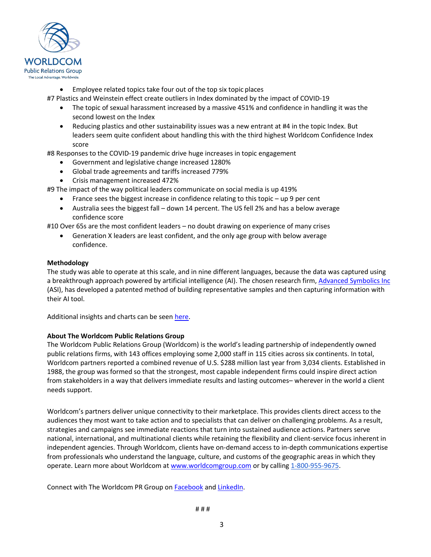

- Employee related topics take four out of the top six topic places
- #7 Plastics and Weinstein effect create outliers in Index dominated by the impact of COVID-19
	- The topic of sexual harassment increased by a massive 451% and confidence in handling it was the second lowest on the Index
	- Reducing plastics and other sustainability issues was a new entrant at #4 in the topic Index. But leaders seem quite confident about handling this with the third highest Worldcom Confidence Index score

#8 Responses to the COVID-19 pandemic drive huge increases in topic engagement

- Government and legislative change increased 1280%
- Global trade agreements and tariffs increased 779%
- Crisis management increased 472%

#9 The impact of the way political leaders communicate on social media is up 419%

- France sees the biggest increase in confidence relating to this topic up 9 per cent
- Australia sees the biggest fall down 14 percent. The US fell 2% and has a below average confidence score

#10 Over 65s are the most confident leaders – no doubt drawing on experience of many crises

• Generation X leaders are least confident, and the only age group with below average confidence.

### **Methodology**

The study was able to operate at this scale, and in nine different languages, because the data was captured using a breakthrough approach powered by artificial intelligence (AI). The chosen research firm[, Advanced Symbolics Inc](https://advancedsymbolics.com/) (ASI), has developed a patented method of building representative samples and then capturing information with their AI tool.

Additional insights and charts can be seen [here.](https://worldcomgroup.com/confidence-index/april-2020-insights/)

### **About The Worldcom Public Relations Group**

The Worldcom Public Relations Group (Worldcom) is the world's leading partnership of independently owned public relations firms, with 143 offices employing some 2,000 staff in 115 cities across six continents. In total, Worldcom partners reported a combined revenue of U.S. \$288 million last year from 3,034 clients. Established in 1988, the group was formed so that the strongest, most capable independent firms could inspire direct action from stakeholders in a way that delivers immediate results and lasting outcomes– wherever in the world a client needs support.

Worldcom's partners deliver unique connectivity to their marketplace. This provides clients direct access to the audiences they most want to take action and to specialists that can deliver on challenging problems. As a result, strategies and campaigns see immediate reactions that turn into sustained audience actions. Partners serve national, international, and multinational clients while retaining the flexibility and client-service focus inherent in independent agencies. Through Worldcom, clients have on-demand access to in-depth communications expertise from professionals who understand the language, culture, and customs of the geographic areas in which they operate. Learn more about Worldcom a[t www.worldcomgroup.com](http://www.worldcomgroup.com/) or by calling 1-800-955-9675.

Connect with The Worldcom PR Group on Facebook an[d LinkedIn.](https://www.linkedin.com/company/worldcom-public-relations-group/)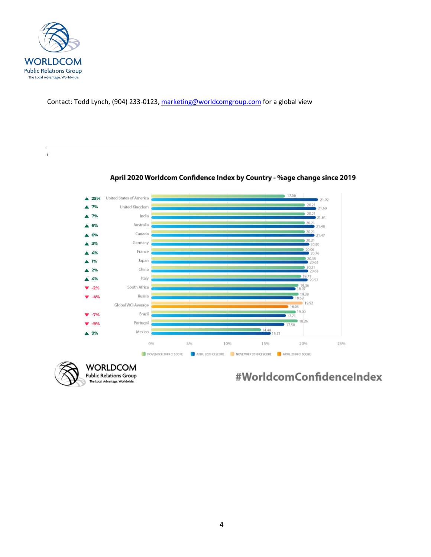

Contact: Todd Lynch, (904) 233-0123, [marketing@worldcomgroup.com](mailto:marketing@worldcomgroup.com) for a global view

i



April 2020 Worldcom Confidence Index by Country - %age change since 2019

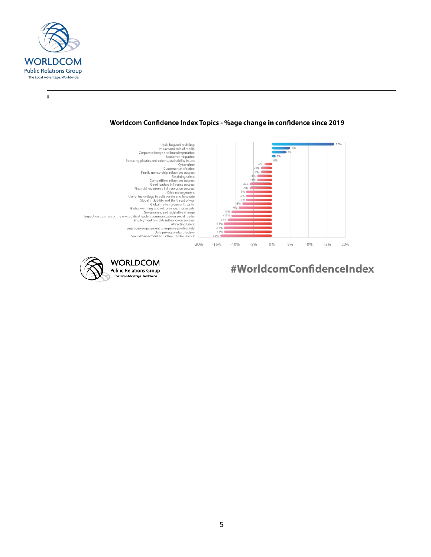

 $\rm \ddot{\rm n}$ 

### Worldcom Confidence Index Topics - %age change in confidence since 2019



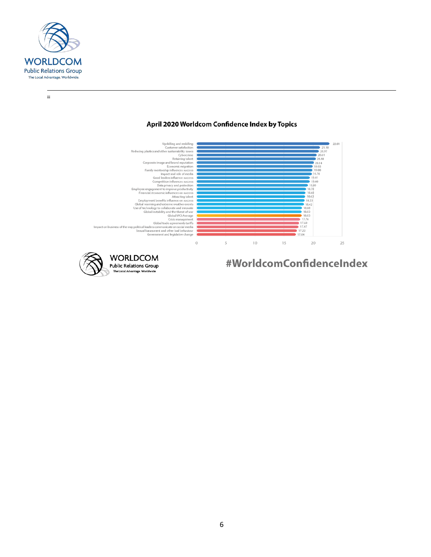

iii

## April 2020 Worldcom Confidence Index by Topics



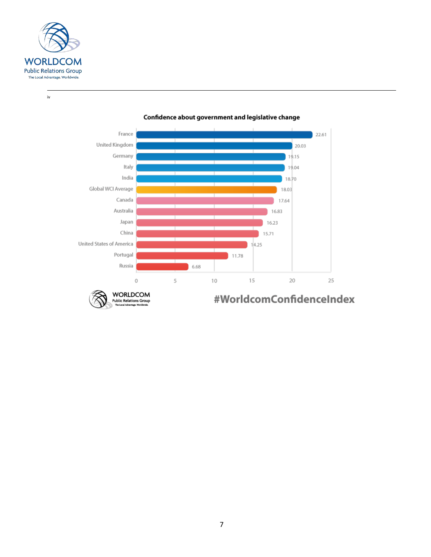

 $\dot{N}$ 



#### Confidence about government and legislative change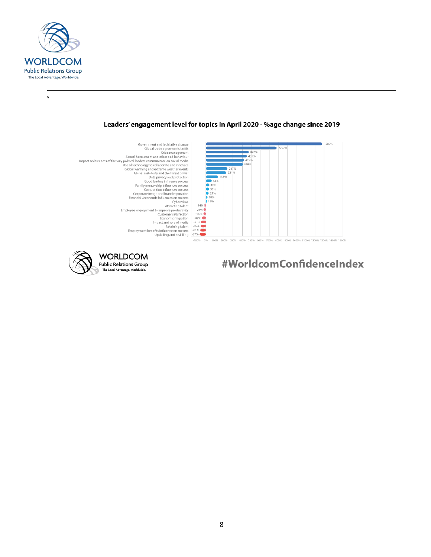

 $\mathsf{v}$ 

### Leaders' engagement level for topics in April 2020 - %age change since 2019

- Government and legislative change<br>
Giobal trade agreements tariffs<br>
Sexual harassment and other bad behaviour Crisis management<br>
Crisis management<br>
Crisis management<br>
Crisis management<br>
Crisis management<br>
Crisis managemen 7070  $472%$ <br> $451%$ <br> $419%$ <br> $410%$  $237%$  $224%$ 39%  $\ddot{\phantom{a}}$  $rac{1}{3596}$  $\frac{15\%}{29\%}$ ● 15% 500% 600% 700% 800% 900% 1000% 1100% 1200% 1300% 1400% 1500 400%
- **WORLDCOM Public Relations Group** The Local Advantage. Worldwide.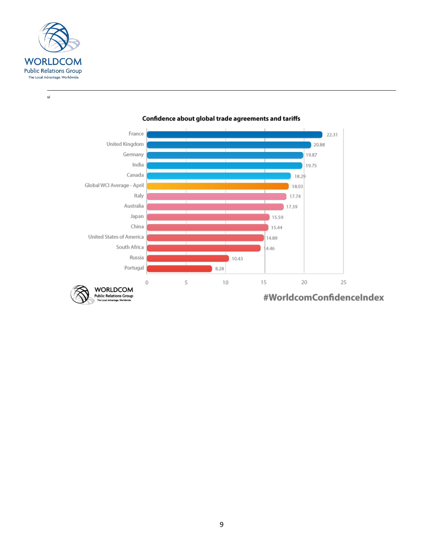

 $\mathsf{vi}$ 



#### Confidence about global trade agreements and tariffs